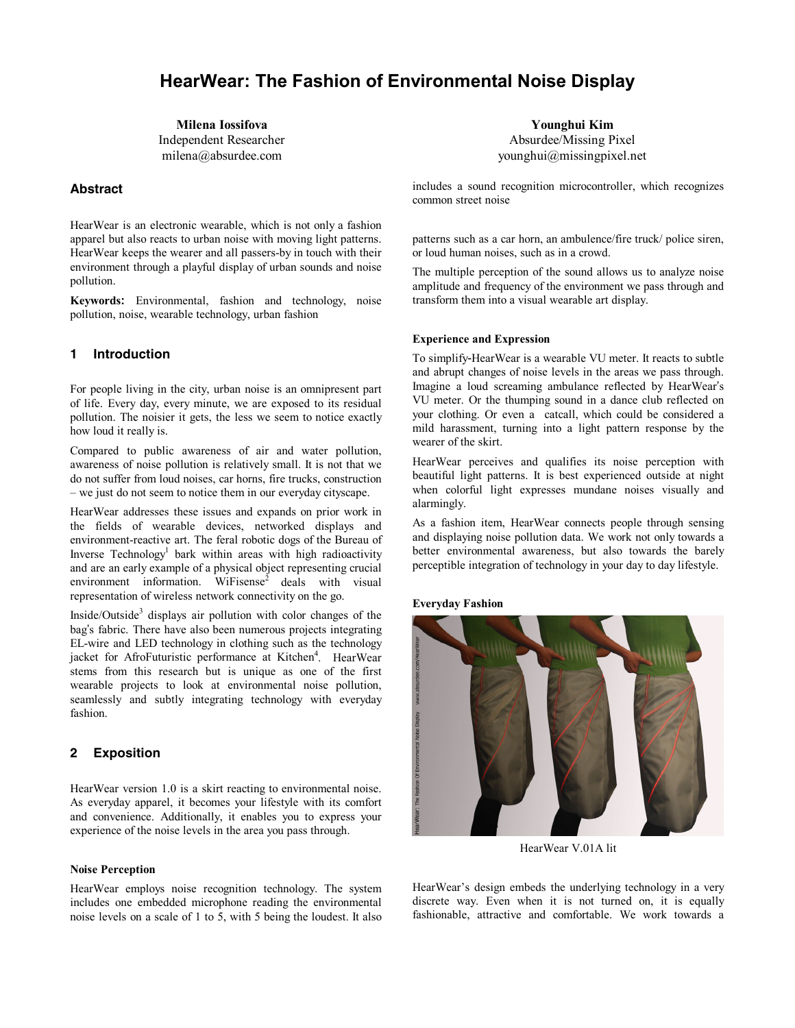# **HearWear: The Fashion of Environmental Noise Display**

**Milena Iossifova**  Independent Researcher milena@absurdee.com

# **Abstract**

HearWear is an electronic wearable, which is not only a fashion apparel but also reacts to urban noise with moving light patterns. HearWear keeps the wearer and all passers-by in touch with their environment through a playful display of urban sounds and noise pollution.

**Keywords:** Environmental, fashion and technology, noise pollution, noise, wearable technology, urban fashion

# **1 Introduction**

For people living in the city, urban noise is an omnipresent part of life. Every day, every minute, we are exposed to its residual pollution. The noisier it gets, the less we seem to notice exactly how loud it really is.

Compared to public awareness of air and water pollution, awareness of noise pollution is relatively small. It is not that we do not suffer from loud noises, car horns, fire trucks, construction – we just do not seem to notice them in our everyday cityscape.

HearWear addresses these issues and expands on prior work in the fields of wearable devices, networked displays and environment-reactive art. The feral robotic dogs of the Bureau of Inverse Technology<sup>1</sup> bark within areas with high radioactivity and are an early example of a physical object representing crucial environment information. WiFisense<sup>2</sup> deals with visual representation of wireless network connectivity on the go.

Inside/Outside<sup>3</sup> displays air pollution with color changes of the bag's fabric. There have also been numerous projects integrating EL-wire and LED technology in clothing such as the technology jacket for AfroFuturistic performance at Kitchen<sup>4</sup>. HearWear stems from this research but is unique as one of the first wearable projects to look at environmental noise pollution, seamlessly and subtly integrating technology with everyday fashion.

## **2 Exposition**

HearWear version 1.0 is a skirt reacting to environmental noise. As everyday apparel, it becomes your lifestyle with its comfort and convenience. Additionally, it enables you to express your experience of the noise levels in the area you pass through.

## **Noise Perception**

HearWear employs noise recognition technology. The system includes one embedded microphone reading the environmental noise levels on a scale of 1 to 5, with 5 being the loudest. It also

**Younghui Kim**  Absurdee/Missing Pixel younghui@missingpixel.net

includes a sound recognition microcontroller, which recognizes common street noise

patterns such as a car horn, an ambulence/fire truck/ police siren, or loud human noises, such as in a crowd.

The multiple perception of the sound allows us to analyze noise amplitude and frequency of the environment we pass through and transform them into a visual wearable art display.

#### **Experience and Expression**

To simplify-HearWear is a wearable VU meter. It reacts to subtle and abrupt changes of noise levels in the areas we pass through. Imagine a loud screaming ambulance reflected by HearWear's VU meter. Or the thumping sound in a dance club reflected on your clothing. Or even a catcall, which could be considered a mild harassment, turning into a light pattern response by the wearer of the skirt.

HearWear perceives and qualifies its noise perception with beautiful light patterns. It is best experienced outside at night when colorful light expresses mundane noises visually and alarmingly.

As a fashion item, HearWear connects people through sensing and displaying noise pollution data. We work not only towards a better environmental awareness, but also towards the barely perceptible integration of technology in your day to day lifestyle.

**Everyday Fashion** 



HearWear V.01A lit

HearWear's design embeds the underlying technology in a very discrete way. Even when it is not turned on, it is equally fashionable, attractive and comfortable. We work towards a